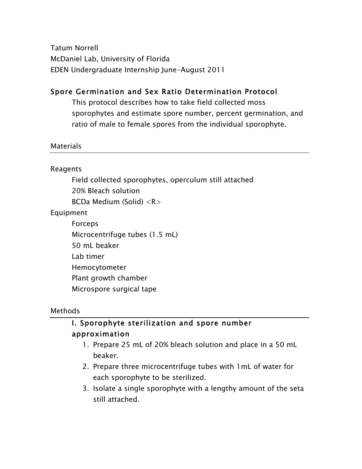Tatum Norrell McDaniel Lab, University of Florida EDEN Undergraduate Internship June-August 2011

### Spore Germination and Sex Ratio Determination Protocol

This protocol describes how to take field collected moss sporophytes and estimate spore number, percent germination, and ratio of male to female spores from the individual sporophyte.

#### Materials

#### Reagents

Field collected sporophytes, operculum still attached 20% Bleach solution BCDa Medium (Solid) <R>

Equipment

Forceps Microcentrifuge tubes (1.5 mL) 50 mL beaker Lab timer Hemocytometer Plant growth chamber Microspore surgical tape

#### Methods

### I. Sporophyte sterilization and spore number approximation

- 1. Prepare 25 mL of 20% bleach solution and place in a 50 mL beaker.
- 2. Prepare three microcentrifuge tubes with 1mL of water for each sporophyte to be sterilized.
- 3. Isolate a single sporophyte with a lengthy amount of the seta still attached.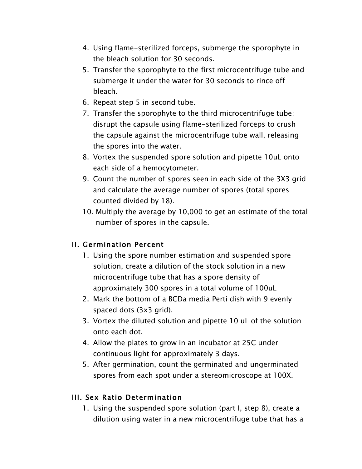- 4. Using flame-sterilized forceps, submerge the sporophyte in the bleach solution for 30 seconds.
- 5. Transfer the sporophyte to the first microcentrifuge tube and submerge it under the water for 30 seconds to rince off bleach.
- 6. Repeat step 5 in second tube.
- 7. Transfer the sporophyte to the third microcentrifuge tube; disrupt the capsule using flame-sterilized forceps to crush the capsule against the microcentrifuge tube wall, releasing the spores into the water.
- 8. Vortex the suspended spore solution and pipette 10uL onto each side of a hemocytometer.
- 9. Count the number of spores seen in each side of the 3X3 grid and calculate the average number of spores (total spores counted divided by 18).
- 10. Multiply the average by 10,000 to get an estimate of the total number of spores in the capsule.

#### II. Germination Percent

- 1. Using the spore number estimation and suspended spore solution, create a dilution of the stock solution in a new microcentrifuge tube that has a spore density of approximately 300 spores in a total volume of 100uL
- 2. Mark the bottom of a BCDa media Perti dish with 9 evenly spaced dots (3x3 grid).
- 3. Vortex the diluted solution and pipette 10 uL of the solution onto each dot.
- 4. Allow the plates to grow in an incubator at 25C under continuous light for approximately 3 days.
- 5. After germination, count the germinated and ungerminated spores from each spot under a stereomicroscope at 100X.

#### III. Sex Ratio Determination

1. Using the suspended spore solution (part I, step 8), create a dilution using water in a new microcentrifuge tube that has a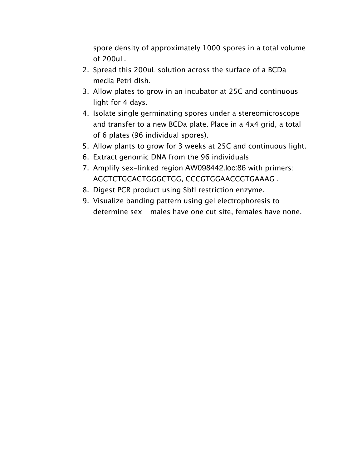spore density of approximately 1000 spores in a total volume of 200uL.

- 2. Spread this 200uL solution across the surface of a BCDa media Petri dish.
- 3. Allow plates to grow in an incubator at 25C and continuous light for 4 days.
- 4. Isolate single germinating spores under a stereomicroscope and transfer to a new BCDa plate. Place in a 4x4 grid, a total of 6 plates (96 individual spores).
- 5. Allow plants to grow for 3 weeks at 25C and continuous light.
- 6. Extract genomic DNA from the 96 individuals
- 7. Amplify sex-linked region AW098442.loc:86 with primers: AGCTCTGCACTGGGCTGG, CCCGTGGAACCGTGAAAG .
- 8. Digest PCR product using SbfI restriction enzyme.
- 9. Visualize banding pattern using gel electrophoresis to determine sex – males have one cut site, females have none.